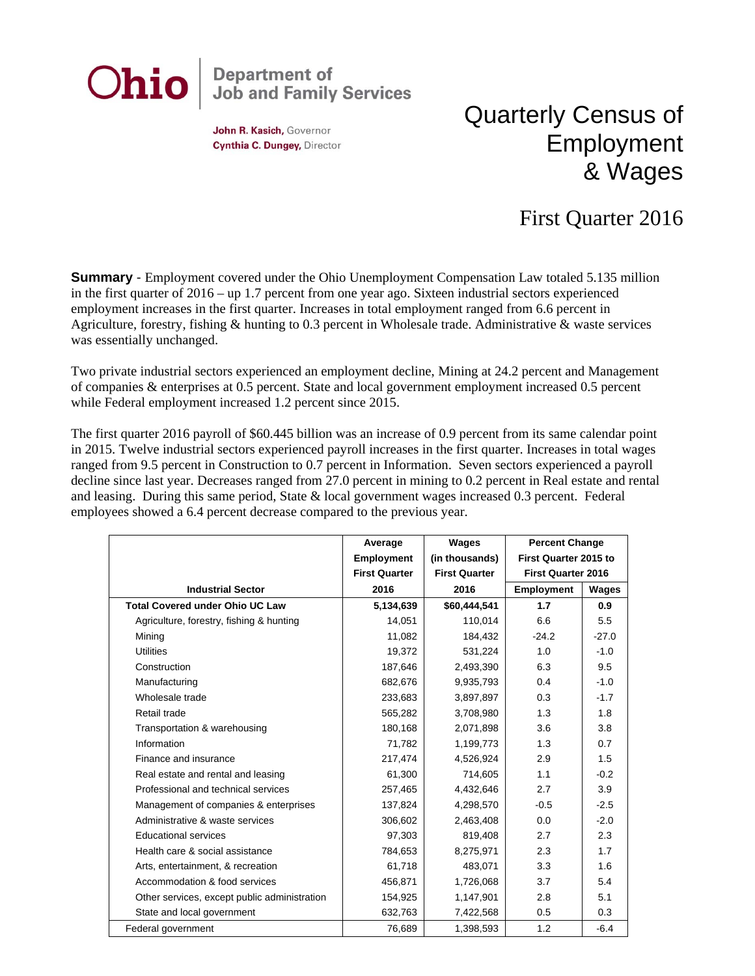

John R. Kasich, Governor Cynthia C. Dungey, Director

## Quarterly Census of Employment & Wages

## First Quarter 2016

**Summary** - Employment covered under the Ohio Unemployment Compensation Law totaled 5.135 million in the first quarter of 2016 – up 1.7 percent from one year ago. Sixteen industrial sectors experienced employment increases in the first quarter. Increases in total employment ranged from 6.6 percent in Agriculture, forestry, fishing & hunting to 0.3 percent in Wholesale trade. Administrative & waste services was essentially unchanged.

Two private industrial sectors experienced an employment decline, Mining at 24.2 percent and Management of companies & enterprises at 0.5 percent. State and local government employment increased 0.5 percent while Federal employment increased 1.2 percent since 2015.

The first quarter 2016 payroll of \$60.445 billion was an increase of 0.9 percent from its same calendar point in 2015. Twelve industrial sectors experienced payroll increases in the first quarter. Increases in total wages ranged from 9.5 percent in Construction to 0.7 percent in Information. Seven sectors experienced a payroll decline since last year. Decreases ranged from 27.0 percent in mining to 0.2 percent in Real estate and rental and leasing. During this same period, State & local government wages increased 0.3 percent. Federal employees showed a 6.4 percent decrease compared to the previous year.

|                                              | Average              | Wages                | <b>Percent Change</b>     |         |
|----------------------------------------------|----------------------|----------------------|---------------------------|---------|
|                                              | <b>Employment</b>    | (in thousands)       | First Quarter 2015 to     |         |
|                                              | <b>First Quarter</b> | <b>First Quarter</b> | <b>First Quarter 2016</b> |         |
| <b>Industrial Sector</b>                     | 2016                 | 2016                 | <b>Employment</b>         | Wages   |
| <b>Total Covered under Ohio UC Law</b>       | 5,134,639            | \$60,444,541         | 1.7                       | 0.9     |
| Agriculture, forestry, fishing & hunting     | 14,051               | 110,014              | 6.6                       | 5.5     |
| Mining                                       | 11,082               | 184,432              | $-24.2$                   | $-27.0$ |
| <b>Utilities</b>                             | 19,372               | 531,224              | 1.0                       | $-1.0$  |
| Construction                                 | 187,646              | 2,493,390            | 6.3                       | 9.5     |
| Manufacturing                                | 682,676              | 9,935,793            | 0.4                       | $-1.0$  |
| Wholesale trade                              | 233,683              | 3,897,897            | 0.3                       | $-1.7$  |
| Retail trade                                 | 565,282              | 3,708,980            | 1.3                       | 1.8     |
| Transportation & warehousing                 | 180.168              | 2,071,898            | 3.6                       | 3.8     |
| Information                                  | 71,782               | 1,199,773            | 1.3                       | 0.7     |
| Finance and insurance                        | 217,474              | 4,526,924            | 2.9                       | 1.5     |
| Real estate and rental and leasing           | 61,300               | 714,605              | 1.1                       | $-0.2$  |
| Professional and technical services          | 257,465              | 4,432,646            | 2.7                       | 3.9     |
| Management of companies & enterprises        | 137,824              | 4,298,570            | $-0.5$                    | $-2.5$  |
| Administrative & waste services              | 306,602              | 2,463,408            | 0.0                       | $-2.0$  |
| <b>Educational services</b>                  | 97,303               | 819,408              | 2.7                       | 2.3     |
| Health care & social assistance              | 784,653              | 8,275,971            | 2.3                       | 1.7     |
| Arts, entertainment, & recreation            | 61,718               | 483,071              | 3.3                       | 1.6     |
| Accommodation & food services                | 456,871              | 1,726,068            | 3.7                       | 5.4     |
| Other services, except public administration | 154,925              | 1,147,901            | 2.8                       | 5.1     |
| State and local government                   | 632,763              | 7,422,568            | 0.5                       | 0.3     |
| Federal government                           | 76,689               | 1,398,593            | 1.2                       | $-6.4$  |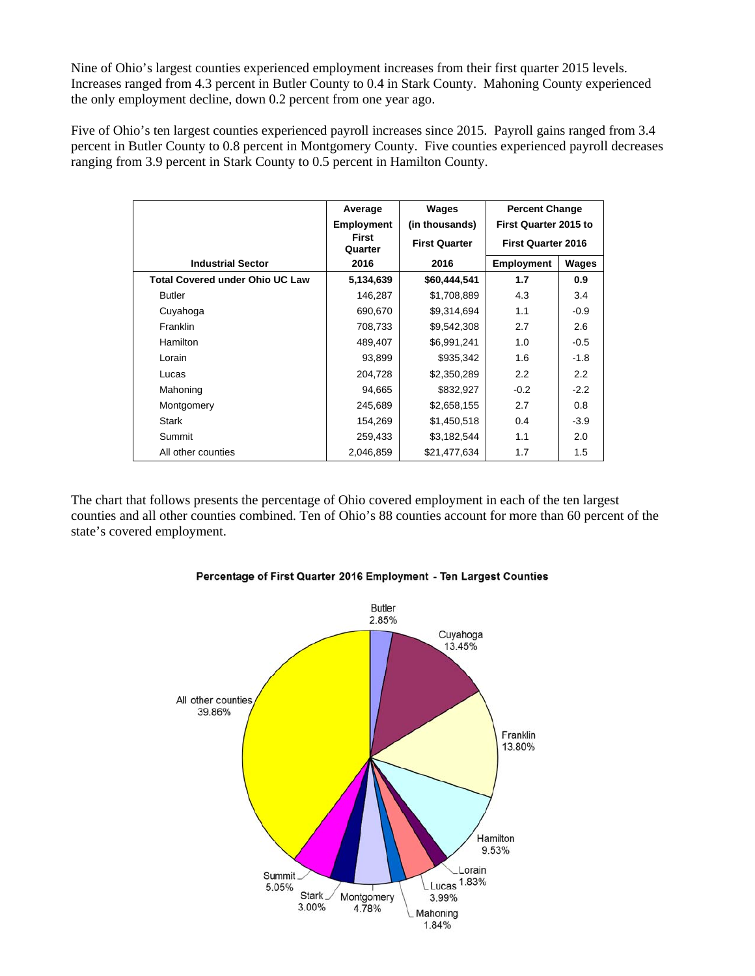Nine of Ohio's largest counties experienced employment increases from their first quarter 2015 levels. Increases ranged from 4.3 percent in Butler County to 0.4 in Stark County. Mahoning County experienced the only employment decline, down 0.2 percent from one year ago.

Five of Ohio's ten largest counties experienced payroll increases since 2015. Payroll gains ranged from 3.4 percent in Butler County to 0.8 percent in Montgomery County. Five counties experienced payroll decreases ranging from 3.9 percent in Stark County to 0.5 percent in Hamilton County.

|                                        | Average                                         | Wages          | <b>Percent Change</b>        |                           |  |
|----------------------------------------|-------------------------------------------------|----------------|------------------------------|---------------------------|--|
|                                        | <b>Employment</b>                               | (in thousands) | <b>First Quarter 2015 to</b> |                           |  |
|                                        | <b>First</b><br><b>First Quarter</b><br>Quarter |                |                              | <b>First Quarter 2016</b> |  |
| <b>Industrial Sector</b>               | 2016                                            | 2016           | <b>Employment</b>            | Wages                     |  |
| <b>Total Covered under Ohio UC Law</b> | 5,134,639                                       | \$60,444,541   | 1.7                          | 0.9                       |  |
| <b>Butler</b>                          | 146,287                                         | \$1,708,889    | 4.3                          | 3.4                       |  |
| Cuyahoga                               | 690,670                                         | \$9,314,694    | 1.1                          | $-0.9$                    |  |
| <b>Franklin</b>                        | 708,733                                         | \$9,542,308    | 2.7                          | 2.6                       |  |
| Hamilton                               | 489,407                                         | \$6,991,241    | 1.0                          | $-0.5$                    |  |
| Lorain                                 | 93,899                                          | \$935,342      | 1.6                          | $-1.8$                    |  |
| Lucas                                  | 204,728                                         | \$2,350,289    | 2.2                          | 2.2                       |  |
| Mahoning                               | 94,665                                          | \$832,927      | $-0.2$                       | $-2.2$                    |  |
| Montgomery                             | 245,689                                         | \$2,658,155    | 2.7                          | 0.8                       |  |
| <b>Stark</b>                           | 154,269                                         | \$1,450,518    | 0.4                          | $-3.9$                    |  |
| Summit                                 | 259,433                                         | \$3,182,544    | 1.1                          | 2.0                       |  |
| All other counties                     | 2,046,859                                       | \$21,477,634   | 1.7                          | 1.5                       |  |

The chart that follows presents the percentage of Ohio covered employment in each of the ten largest counties and all other counties combined. Ten of Ohio's 88 counties account for more than 60 percent of the state's covered employment.



## Percentage of First Quarter 2016 Employment - Ten Largest Counties